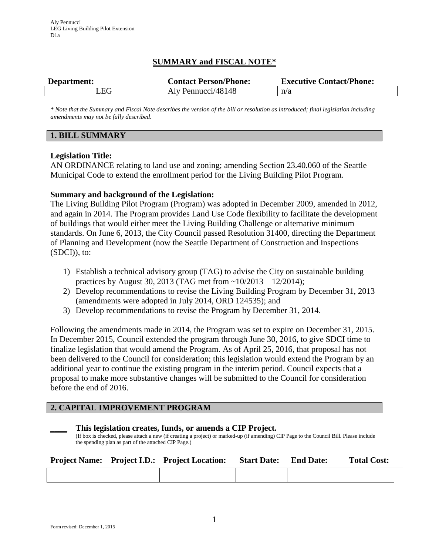# **SUMMARY and FISCAL NOTE\***

| Department:             | <b>Contact Person/Phone:</b> | <b>Executive Contact/Phone:</b> |  |  |
|-------------------------|------------------------------|---------------------------------|--|--|
| $\lrcorner \mathrm{EG}$ | Aly Pennucci/48148           | n/a                             |  |  |

*\* Note that the Summary and Fiscal Note describes the version of the bill or resolution as introduced; final legislation including amendments may not be fully described.*

## **1. BILL SUMMARY**

## **Legislation Title:**

AN ORDINANCE relating to land use and zoning; amending Section 23.40.060 of the Seattle Municipal Code to extend the enrollment period for the Living Building Pilot Program.

# **Summary and background of the Legislation:**

The Living Building Pilot Program (Program) was adopted in December 2009, amended in 2012, and again in 2014. The Program provides Land Use Code flexibility to facilitate the development of buildings that would either meet the Living Building Challenge or alternative minimum standards. On June 6, 2013, the City Council passed Resolution 31400, directing the Department of Planning and Development (now the Seattle Department of Construction and Inspections (SDCI)), to:

- 1) Establish a technical advisory group (TAG) to advise the City on sustainable building practices by August 30, 2013 (TAG met from ~10/2013 – 12/2014);
- 2) Develop recommendations to revise the Living Building Program by December 31, 2013 (amendments were adopted in July 2014, ORD 124535); and
- 3) Develop recommendations to revise the Program by December 31, 2014.

Following the amendments made in 2014, the Program was set to expire on December 31, 2015. In December 2015, Council extended the program through June 30, 2016, to give SDCI time to finalize legislation that would amend the Program. As of April 25, 2016, that proposal has not been delivered to the Council for consideration; this legislation would extend the Program by an additional year to continue the existing program in the interim period. Council expects that a proposal to make more substantive changes will be submitted to the Council for consideration before the end of 2016.

# **2. CAPITAL IMPROVEMENT PROGRAM**

| This legislation creates, funds, or amends a CIP Project.                                                                               |  |
|-----------------------------------------------------------------------------------------------------------------------------------------|--|
| (If box is checked, please attach a new (if creating a project) or marked-up (if amending) CIP Page to the Council Bill. Please include |  |
| the spending plan as part of the attached CIP Page.)                                                                                    |  |

|  | <b>Project Name:</b> Project I.D.: Project Location: | <b>Start Date:</b> | <b>End Date:</b> | <b>Total Cost:</b> |
|--|------------------------------------------------------|--------------------|------------------|--------------------|
|  |                                                      |                    |                  |                    |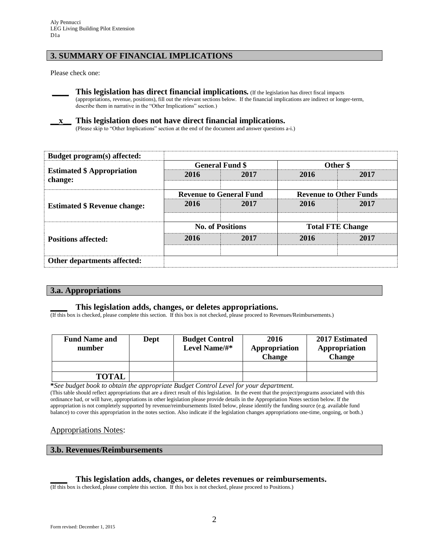# **3. SUMMARY OF FINANCIAL IMPLICATIONS**

Please check one:



**\_\_\_\_ This legislation has direct financial implications***.* (If the legislation has direct fiscal impacts (appropriations, revenue, positions), fill out the relevant sections below. If the financial implications are indirect or longer-term, describe them in narrative in the "Other Implications" section.)

## **\_\_x\_\_ This legislation does not have direct financial implications.**

(Please skip to "Other Implications" section at the end of the document and answer questions a-i.)

| Budget program(s) affected:                  |                         |                                |                               |      |  |
|----------------------------------------------|-------------------------|--------------------------------|-------------------------------|------|--|
|                                              |                         | <b>General Fund \$</b>         | Other \$                      |      |  |
| <b>Estimated \$ Appropriation</b><br>change: | 2016                    | 2017                           | 2016                          | 2017 |  |
|                                              |                         | <b>Revenue to General Fund</b> | <b>Revenue to Other Funds</b> |      |  |
| <b>Estimated \$ Revenue change:</b>          | 2016                    | 2017                           | 2016                          | 2017 |  |
|                                              | <b>No. of Positions</b> |                                | <b>Total FTE Change</b>       |      |  |
| <b>Positions affected:</b>                   | 2016                    | 2017                           | 2016                          | 2017 |  |
|                                              |                         |                                |                               |      |  |
| Other departments affected:                  |                         |                                |                               |      |  |

#### **3.a. Appropriations**

## **\_\_\_\_ This legislation adds, changes, or deletes appropriations.**

(If this box is checked, please complete this section. If this box is not checked, please proceed to Revenues/Reimbursements.)

| <b>Fund Name and</b><br>number | Dept | <b>Budget Control</b><br>Level Name/#* | 2016<br>Appropriation<br><b>Change</b> | 2017 Estimated<br>Appropriation<br><b>Change</b> |
|--------------------------------|------|----------------------------------------|----------------------------------------|--------------------------------------------------|
|                                |      |                                        |                                        |                                                  |
| <b>TOTAL</b>                   |      |                                        |                                        |                                                  |

**\****See budget book to obtain the appropriate Budget Control Level for your department.*

(This table should reflect appropriations that are a direct result of this legislation. In the event that the project/programs associated with this ordinance had, or will have, appropriations in other legislation please provide details in the Appropriation Notes section below. If the appropriation is not completely supported by revenue/reimbursements listed below, please identify the funding source (e.g. available fund balance) to cover this appropriation in the notes section. Also indicate if the legislation changes appropriations one-time, ongoing, or both.)

## Appropriations Notes:

#### **3.b. Revenues/Reimbursements**

#### **\_\_\_\_ This legislation adds, changes, or deletes revenues or reimbursements.**

(If this box is checked, please complete this section. If this box is not checked, please proceed to Positions.)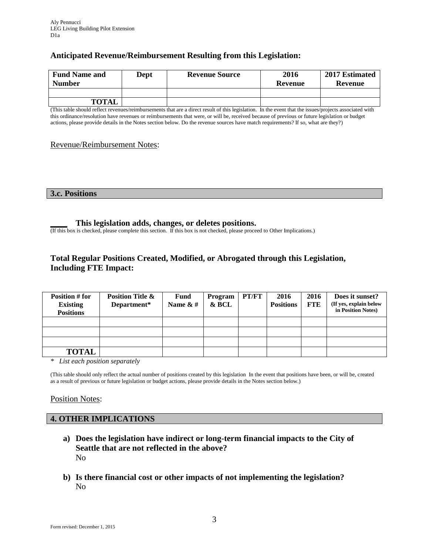# **Anticipated Revenue/Reimbursement Resulting from this Legislation:**

| <b>Fund Name and</b><br><b>Number</b> | <b>Dept</b> | <b>Revenue Source</b> | 2016<br>Revenue | 2017 Estimated<br>Revenue |
|---------------------------------------|-------------|-----------------------|-----------------|---------------------------|
|                                       |             |                       |                 |                           |
| <b>TOTAL</b>                          |             |                       |                 |                           |

(This table should reflect revenues/reimbursements that are a direct result of this legislation. In the event that the issues/projects associated with this ordinance/resolution have revenues or reimbursements that were, or will be, received because of previous or future legislation or budget actions, please provide details in the Notes section below. Do the revenue sources have match requirements? If so, what are they?)

### Revenue/Reimbursement Notes:

**3.c. Positions**

### **\_\_\_\_ This legislation adds, changes, or deletes positions.**

(If this box is checked, please complete this section. If this box is not checked, please proceed to Other Implications.)

# **Total Regular Positions Created, Modified, or Abrogated through this Legislation, Including FTE Impact:**

| <b>Position # for</b><br><b>Existing</b><br><b>Positions</b> | <b>Position Title &amp;</b><br>Department* | <b>Fund</b><br>Name $\&$ # | Program<br>& BCL | PT/FT | 2016<br><b>Positions</b> | 2016<br><b>FTE</b> | Does it sunset?<br>(If yes, explain below<br>in Position Notes) |
|--------------------------------------------------------------|--------------------------------------------|----------------------------|------------------|-------|--------------------------|--------------------|-----------------------------------------------------------------|
|                                                              |                                            |                            |                  |       |                          |                    |                                                                 |
|                                                              |                                            |                            |                  |       |                          |                    |                                                                 |
|                                                              |                                            |                            |                  |       |                          |                    |                                                                 |
| <b>TOTAL</b>                                                 |                                            |                            |                  |       |                          |                    |                                                                 |

*\* List each position separately*

(This table should only reflect the actual number of positions created by this legislation In the event that positions have been, or will be, created as a result of previous or future legislation or budget actions, please provide details in the Notes section below.)

## Position Notes:

## **4. OTHER IMPLICATIONS**

- **a) Does the legislation have indirect or long-term financial impacts to the City of Seattle that are not reflected in the above?** No
- **b) Is there financial cost or other impacts of not implementing the legislation?** No